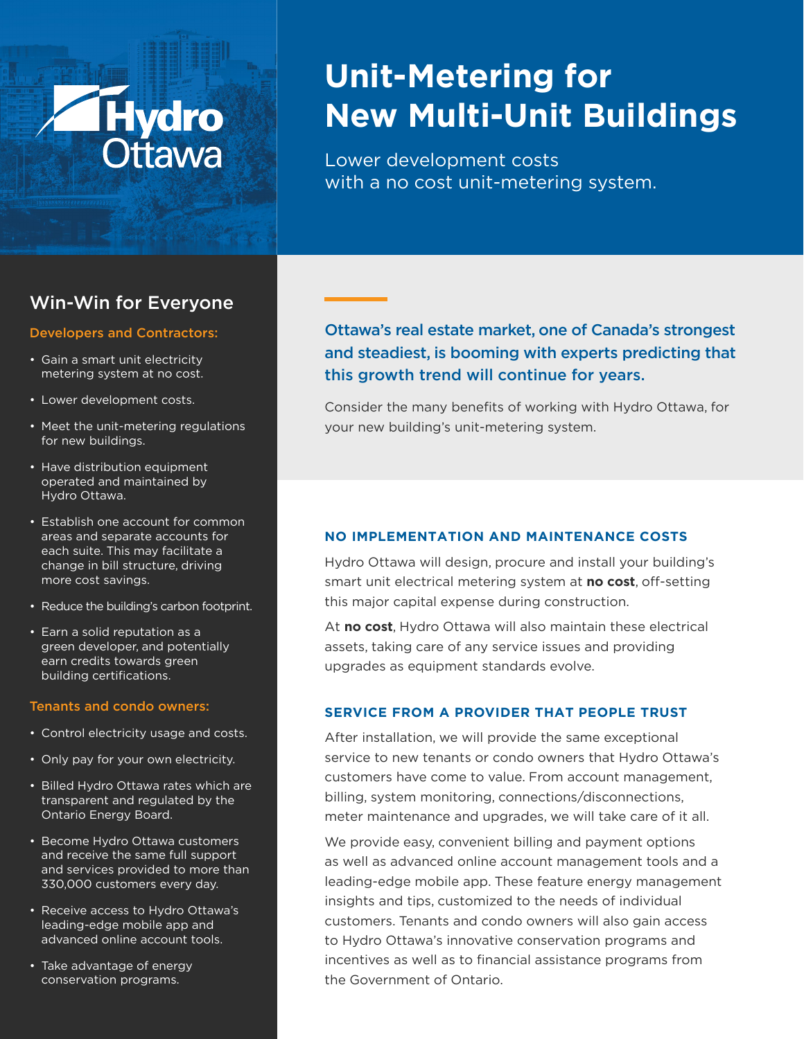# **Hydro**

# **Unit-Metering for New Multi-Unit Buildings**

Lower development costs with a no cost unit-metering system.

# Win-Win for Everyone

#### Developers and Contractors:

- Gain a smart unit electricity metering system at no cost.
- Lower development costs.
- Meet the unit-metering regulations for new buildings.
- Have distribution equipment operated and maintained by Hydro Ottawa.
- Establish one account for common areas and separate accounts for each suite. This may facilitate a change in bill structure, driving more cost savings.
- Reduce the building's carbon footprint.
- Earn a solid reputation as a green developer, and potentially earn credits towards green building certifications.

#### Tenants and condo owners:

- Control electricity usage and costs.
- Only pay for your own electricity.
- Billed Hydro Ottawa rates which are transparent and regulated by the Ontario Energy Board.
- Become Hydro Ottawa customers and receive the same full support and services provided to more than 330,000 customers every day.
- Receive access to Hydro Ottawa's leading-edge mobile app and advanced online account tools.
- Take advantage of energy conservation programs.

# Ottawa's real estate market, one of Canada's strongest and steadiest, is booming with experts predicting that this growth trend will continue for years.

Consider the many benefits of working with Hydro Ottawa, for your new building's unit-metering system.

#### **NO IMPLEMENTATION AND MAINTENANCE COSTS**

Hydro Ottawa will design, procure and install your building's smart unit electrical metering system at **no cost**, off-setting this major capital expense during construction.

At **no cost**, Hydro Ottawa will also maintain these electrical assets, taking care of any service issues and providing upgrades as equipment standards evolve.

#### **SERVICE FROM A PROVIDER THAT PEOPLE TRUST**

After installation, we will provide the same exceptional service to new tenants or condo owners that Hydro Ottawa's customers have come to value. From account management, billing, system monitoring, connections/disconnections, meter maintenance and upgrades, we will take care of it all.

We provide easy, convenient billing and payment options as well as advanced online account management tools and a leading-edge mobile app. These feature energy management insights and tips, customized to the needs of individual customers. Tenants and condo owners will also gain access to Hydro Ottawa's innovative conservation programs and incentives as well as to financial assistance programs from the Government of Ontario.